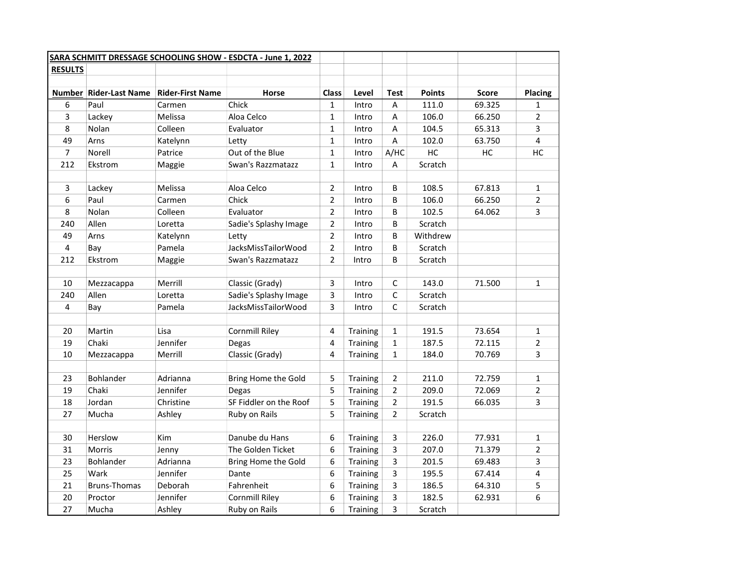|                         |                          |                         | SARA SCHMITT DRESSAGE SCHOOLING SHOW - ESDCTA - June 1, 2022 |                |                 |                |               |              |                |
|-------------------------|--------------------------|-------------------------|--------------------------------------------------------------|----------------|-----------------|----------------|---------------|--------------|----------------|
| <b>RESULTS</b>          |                          |                         |                                                              |                |                 |                |               |              |                |
|                         |                          |                         |                                                              |                |                 |                |               |              |                |
|                         | Number   Rider-Last Name | <b>Rider-First Name</b> | <b>Horse</b>                                                 | <b>Class</b>   | Level           | <b>Test</b>    | <b>Points</b> | <b>Score</b> | Placing        |
| 6                       | Paul                     | Carmen                  | Chick                                                        | $\mathbf{1}$   | Intro           | Α              | 111.0         | 69.325       | $\mathbf{1}$   |
| 3                       | Lackey                   | Melissa                 | Aloa Celco                                                   | $\mathbf{1}$   | Intro           | Α              | 106.0         | 66.250       | $\overline{2}$ |
| 8                       | Nolan                    | Colleen                 | Evaluator                                                    | $\mathbf 1$    | Intro           | Α              | 104.5         | 65.313       | 3              |
| 49                      | Arns                     | Katelynn                | Letty                                                        | $\mathbf 1$    | Intro           | $\sf A$        | 102.0         | 63.750       | 4              |
| $\overline{7}$          | Norell                   | Patrice                 | Out of the Blue                                              | $\mathbf{1}$   | Intro           | A/HC           | HC            | HC           | HC             |
| 212                     | Ekstrom                  | Maggie                  | Swan's Razzmatazz                                            | $\mathbf{1}$   | Intro           | Α              | Scratch       |              |                |
|                         |                          |                         |                                                              |                |                 |                |               |              |                |
| 3                       | Lackey                   | Melissa                 | Aloa Celco                                                   | $\overline{2}$ | Intro           | В              | 108.5         | 67.813       | $\mathbf{1}$   |
| 6                       | Paul                     | Carmen                  | Chick                                                        | $\overline{2}$ | Intro           | B              | 106.0         | 66.250       | $\overline{2}$ |
| 8                       | <b>Nolan</b>             | Colleen                 | Evaluator                                                    | $\overline{2}$ | Intro           | B              | 102.5         | 64.062       | 3              |
| 240                     | Allen                    | Loretta                 | Sadie's Splashy Image                                        | $\overline{2}$ | Intro           | B              | Scratch       |              |                |
| 49                      | Arns                     | Katelynn                | Letty                                                        | $\overline{2}$ | Intro           | B              | Withdrew      |              |                |
| 4                       | Bay                      | Pamela                  | JacksMissTailorWood                                          | $\overline{2}$ | Intro           | B              | Scratch       |              |                |
| 212                     | Ekstrom                  | Maggie                  | Swan's Razzmatazz                                            | $\overline{2}$ | Intro           | B              | Scratch       |              |                |
|                         |                          |                         |                                                              |                |                 |                |               |              |                |
| 10                      | Mezzacappa               | Merrill                 | Classic (Grady)                                              | 3              | Intro           | C              | 143.0         | 71.500       | $\mathbf{1}$   |
| 240                     | Allen                    | Loretta                 | Sadie's Splashy Image                                        | 3              | Intro           | C              | Scratch       |              |                |
| $\overline{\mathbf{4}}$ | Bay                      | Pamela                  | JacksMissTailorWood                                          | 3              | Intro           | C              | Scratch       |              |                |
|                         |                          |                         |                                                              |                |                 |                |               |              |                |
| 20                      | Martin                   | Lisa                    | <b>Cornmill Riley</b>                                        | 4              | Training        | $\mathbf{1}$   | 191.5         | 73.654       | $\mathbf{1}$   |
| 19                      | Chaki                    | Jennifer                | Degas                                                        | $\overline{4}$ | Training        | $\mathbf{1}$   | 187.5         | 72.115       | $\overline{2}$ |
| 10                      | Mezzacappa               | Merrill                 | Classic (Grady)                                              | 4              | <b>Training</b> | $\mathbf{1}$   | 184.0         | 70.769       | 3              |
|                         |                          |                         |                                                              |                |                 |                |               |              |                |
| 23                      | Bohlander                | Adrianna                | Bring Home the Gold                                          | 5              | Training        | $\overline{2}$ | 211.0         | 72.759       | $\mathbf{1}$   |
| 19                      | Chaki                    | Jennifer                | Degas                                                        | 5              | <b>Training</b> | $\overline{2}$ | 209.0         | 72.069       | $\overline{2}$ |
| 18                      | Jordan                   | Christine               | SF Fiddler on the Roof                                       | 5              | Training        | $\overline{2}$ | 191.5         | 66.035       | 3              |
| 27                      | Mucha                    | Ashley                  | Ruby on Rails                                                | 5              | <b>Training</b> | $\overline{2}$ | Scratch       |              |                |
|                         |                          |                         |                                                              |                |                 |                |               |              |                |
| 30                      | Herslow                  | <b>Kim</b>              | Danube du Hans                                               | 6              | Training        | 3              | 226.0         | 77.931       | $\mathbf{1}$   |
| 31                      | <b>Morris</b>            | Jenny                   | The Golden Ticket                                            | 6              | Training        | 3              | 207.0         | 71.379       | $\overline{2}$ |
| 23                      | Bohlander                | Adrianna                | Bring Home the Gold                                          | 6              | <b>Training</b> | 3              | 201.5         | 69.483       | 3              |
| 25                      | Wark                     | Jennifer                | Dante                                                        | 6              | Training        | 3              | 195.5         | 67.414       | 4              |
| 21                      | <b>Bruns-Thomas</b>      | Deborah                 | Fahrenheit                                                   | 6              | Training        | 3              | 186.5         | 64.310       | 5              |
| 20                      | Proctor                  | Jennifer                | <b>Cornmill Riley</b>                                        | 6              | Training        | 3              | 182.5         | 62.931       | 6              |
| 27                      | Mucha                    | Ashley                  | Ruby on Rails                                                | 6              | Training        | 3              | Scratch       |              |                |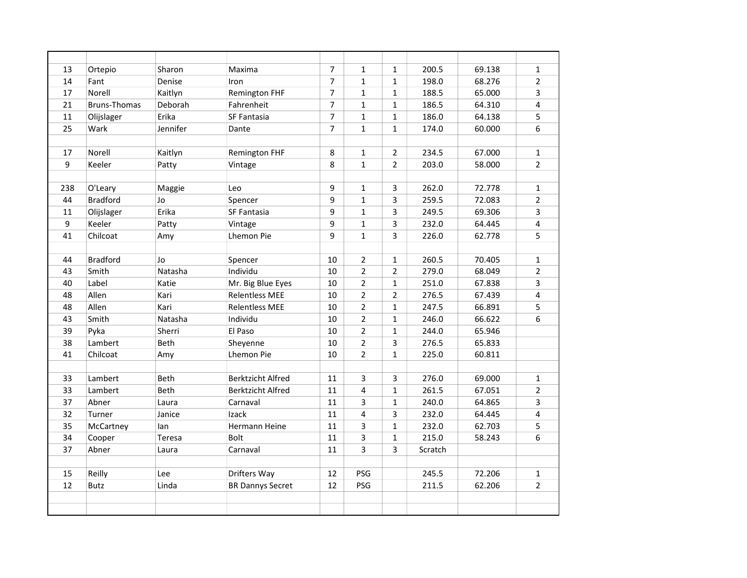| 13  | Ortepio             | Sharon      | Maxima                   | $\overline{7}$ | $\mathbf{1}$   | $\mathbf{1}$   | 200.5   | 69.138 | $\mathbf{1}$            |
|-----|---------------------|-------------|--------------------------|----------------|----------------|----------------|---------|--------|-------------------------|
| 14  | Fant                | Denise      | Iron                     | $\overline{7}$ | $\mathbf{1}$   | $\mathbf{1}$   | 198.0   | 68.276 | $\overline{2}$          |
| 17  | Norell              | Kaitlyn     | <b>Remington FHF</b>     | $\overline{7}$ | $\mathbf{1}$   | $\mathbf{1}$   | 188.5   | 65.000 | 3                       |
| 21  | <b>Bruns-Thomas</b> | Deborah     | Fahrenheit               | $\overline{7}$ | $\mathbf{1}$   | $\mathbf{1}$   | 186.5   | 64.310 | $\overline{\mathbf{4}}$ |
| 11  | Olijslager          | Erika       | SF Fantasia              | $\overline{7}$ | $\mathbf{1}$   | $\mathbf{1}$   | 186.0   | 64.138 | 5                       |
| 25  | Wark                | Jennifer    | Dante                    | $\overline{7}$ | $\mathbf{1}$   | $\mathbf{1}$   | 174.0   | 60.000 | 6                       |
|     |                     |             |                          |                |                |                |         |        |                         |
| 17  | Norell              | Kaitlyn     | <b>Remington FHF</b>     | 8              | $\mathbf{1}$   | $\overline{2}$ | 234.5   | 67.000 | $\mathbf{1}$            |
| 9   | Keeler              | Patty       | Vintage                  | 8              | $\mathbf{1}$   | $\overline{2}$ | 203.0   | 58.000 | $\overline{2}$          |
|     |                     |             |                          |                |                |                |         |        |                         |
| 238 | O'Leary             | Maggie      | Leo                      | 9              | $\mathbf{1}$   | 3              | 262.0   | 72.778 | $\mathbf{1}$            |
| 44  | <b>Bradford</b>     | Jo          | Spencer                  | 9              | $\mathbf{1}$   | 3              | 259.5   | 72.083 | $\overline{2}$          |
| 11  | Olijslager          | Erika       | SF Fantasia              | 9              | $\mathbf{1}$   | 3              | 249.5   | 69.306 | 3                       |
| 9   | Keeler              | Patty       | Vintage                  | 9              | $\mathbf{1}$   | 3              | 232.0   | 64.445 | 4                       |
| 41  | Chilcoat            | Amy         | <b>Lhemon Pie</b>        | 9              | $\mathbf{1}$   | 3              | 226.0   | 62.778 | 5                       |
|     |                     |             |                          |                |                |                |         |        |                         |
| 44  | <b>Bradford</b>     | Jo          | Spencer                  | 10             | $\overline{2}$ | $\mathbf{1}$   | 260.5   | 70.405 | $\mathbf{1}$            |
| 43  | Smith               | Natasha     | Individu                 | 10             | $\overline{2}$ | $\overline{2}$ | 279.0   | 68.049 | $\overline{2}$          |
| 40  | Label               | Katie       | Mr. Big Blue Eyes        | 10             | $\overline{2}$ | 1              | 251.0   | 67.838 | 3                       |
| 48  | Allen               | Kari        | <b>Relentless MEE</b>    | 10             | $\overline{2}$ | $\overline{2}$ | 276.5   | 67.439 | 4                       |
| 48  | Allen               | Kari        | <b>Relentless MEE</b>    | 10             | $\overline{2}$ | 1              | 247.5   | 66.891 | 5                       |
| 43  | Smith               | Natasha     | Individu                 | 10             | $\overline{2}$ | $\mathbf{1}$   | 246.0   | 66.622 | 6                       |
| 39  | Pyka                | Sherri      | El Paso                  | 10             | $\overline{2}$ | $\mathbf{1}$   | 244.0   | 65.946 |                         |
| 38  | Lambert             | Beth        | Sheyenne                 | 10             | $\overline{2}$ | 3              | 276.5   | 65.833 |                         |
| 41  | Chilcoat            | Amy         | <b>Lhemon Pie</b>        | 10             | $\overline{2}$ | $\mathbf{1}$   | 225.0   | 60.811 |                         |
|     |                     |             |                          |                |                |                |         |        |                         |
| 33  | Lambert             | <b>Beth</b> | <b>Berktzicht Alfred</b> | 11             | 3              | 3              | 276.0   | 69.000 | $\mathbf{1}$            |
| 33  | Lambert             | Beth        | <b>Berktzicht Alfred</b> | 11             | 4              | $\mathbf{1}$   | 261.5   | 67.051 | $\overline{2}$          |
| 37  | Abner               | Laura       | Carnaval                 | 11             | 3              | 1              | 240.0   | 64.865 | 3                       |
| 32  | Turner              | Janice      | Izack                    | 11             | 4              | 3              | 232.0   | 64.445 | 4                       |
| 35  | McCartney           | lan         | Hermann Heine            | 11             | 3              | 1              | 232.0   | 62.703 | 5                       |
| 34  | Cooper              | Teresa      | <b>Bolt</b>              | 11             | 3              | $\mathbf{1}$   | 215.0   | 58.243 | 6                       |
| 37  | Abner               | Laura       | Carnaval                 | 11             | 3              | 3              | Scratch |        |                         |
|     |                     |             |                          |                |                |                |         |        |                         |
| 15  | Reilly              | Lee         | Drifters Way             | 12             | PSG            |                | 245.5   | 72.206 | 1                       |
| 12  | <b>Butz</b>         | Linda       | <b>BR Dannys Secret</b>  | 12             | <b>PSG</b>     |                | 211.5   | 62.206 | $\overline{2}$          |
|     |                     |             |                          |                |                |                |         |        |                         |
|     |                     |             |                          |                |                |                |         |        |                         |